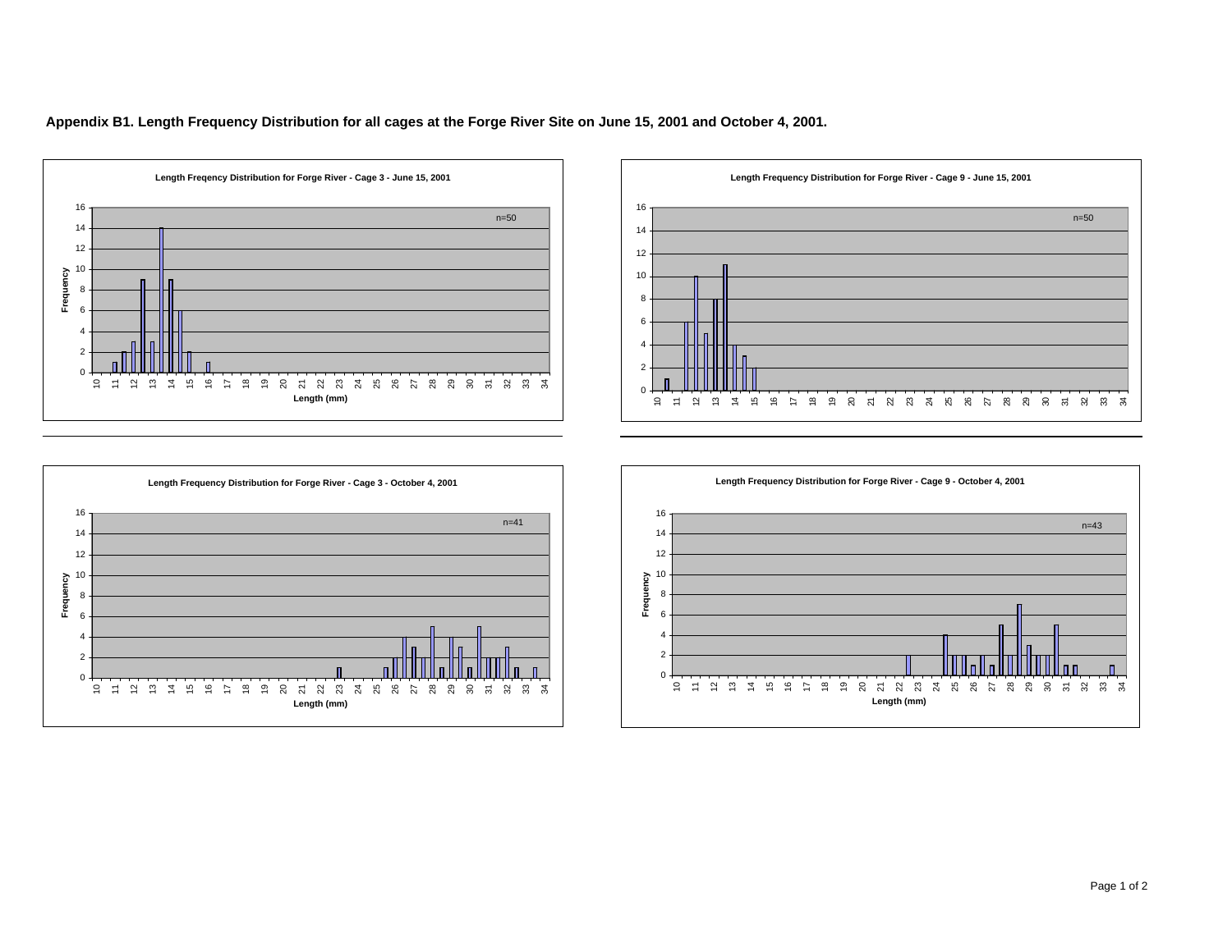